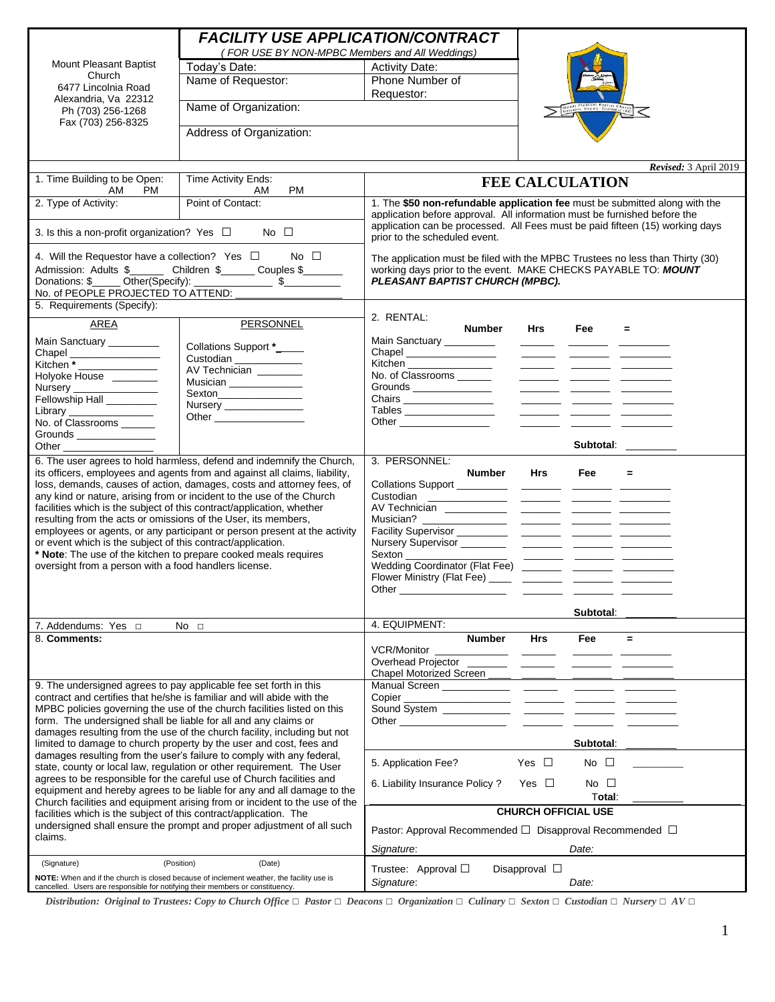| <b>FACILITY USE APPLICATION/CONTRACT</b><br>(FOR USE BY NON-MPBC Members and All Weddings)                                                           |                                                                                                                                                     |                                                                                                                                                            |                    |                        |                       |
|------------------------------------------------------------------------------------------------------------------------------------------------------|-----------------------------------------------------------------------------------------------------------------------------------------------------|------------------------------------------------------------------------------------------------------------------------------------------------------------|--------------------|------------------------|-----------------------|
| <b>Mount Pleasant Baptist</b>                                                                                                                        | Today's Date:                                                                                                                                       | <b>Activity Date:</b>                                                                                                                                      |                    |                        |                       |
| Church                                                                                                                                               | Name of Requestor:                                                                                                                                  | Phone Number of                                                                                                                                            |                    |                        |                       |
| 6477 Lincolnia Road                                                                                                                                  |                                                                                                                                                     | Requestor:                                                                                                                                                 |                    |                        |                       |
| Alexandria, Va 22312<br>Ph (703) 256-1268                                                                                                            | Name of Organization:                                                                                                                               |                                                                                                                                                            |                    |                        |                       |
| Fax (703) 256-8325                                                                                                                                   | Address of Organization:                                                                                                                            |                                                                                                                                                            |                    |                        |                       |
|                                                                                                                                                      |                                                                                                                                                     |                                                                                                                                                            |                    |                        |                       |
|                                                                                                                                                      |                                                                                                                                                     |                                                                                                                                                            |                    |                        |                       |
|                                                                                                                                                      |                                                                                                                                                     |                                                                                                                                                            |                    |                        | Revised: 3 April 2019 |
| 1. Time Building to be Open:                                                                                                                         | Time Activity Ends:                                                                                                                                 |                                                                                                                                                            |                    | <b>FEE CALCULATION</b> |                       |
| PM.<br>AM                                                                                                                                            | AM<br><b>PM</b>                                                                                                                                     |                                                                                                                                                            |                    |                        |                       |
| 2. Type of Activity:                                                                                                                                 | Point of Contact:                                                                                                                                   | 1. The \$50 non-refundable application fee must be submitted along with the                                                                                |                    |                        |                       |
|                                                                                                                                                      |                                                                                                                                                     | application before approval. All information must be furnished before the<br>application can be processed. All Fees must be paid fifteen (15) working days |                    |                        |                       |
| 3. Is this a non-profit organization? Yes $\Box$ No $\Box$                                                                                           |                                                                                                                                                     | prior to the scheduled event.                                                                                                                              |                    |                        |                       |
|                                                                                                                                                      |                                                                                                                                                     |                                                                                                                                                            |                    |                        |                       |
|                                                                                                                                                      | 4. Will the Requestor have a collection? Yes $\Box$ No $\Box$                                                                                       | The application must be filed with the MPBC Trustees no less than Thirty (30)                                                                              |                    |                        |                       |
|                                                                                                                                                      | Admission: Adults \$________ Children \$______ Couples \$_______                                                                                    | working days prior to the event. MAKE CHECKS PAYABLE TO: MOUNT                                                                                             |                    |                        |                       |
|                                                                                                                                                      |                                                                                                                                                     | PLEASANT BAPTIST CHURCH (MPBC).                                                                                                                            |                    |                        |                       |
| No. of PEOPLE PROJECTED TO ATTEND: ____________<br>5. Requirements (Specify):                                                                        |                                                                                                                                                     |                                                                                                                                                            |                    |                        |                       |
|                                                                                                                                                      |                                                                                                                                                     | 2. RENTAL:                                                                                                                                                 |                    |                        |                       |
| <b>AREA</b>                                                                                                                                          | PERSONNEL                                                                                                                                           | Number                                                                                                                                                     | Hrs                | Fee<br>$=$             |                       |
| Main Sanctuary ________                                                                                                                              |                                                                                                                                                     | Main Sanctuary _________                                                                                                                                   |                    |                        |                       |
| Chapel _________________                                                                                                                             | Collations Support *_____                                                                                                                           | Chapel ________________                                                                                                                                    |                    |                        |                       |
|                                                                                                                                                      | Custodian                                                                                                                                           | Kitchen ________________                                                                                                                                   |                    |                        |                       |
| Holyoke House ________                                                                                                                               | AV Technician _______                                                                                                                               |                                                                                                                                                            |                    |                        |                       |
| Nursery<br>Fellowship Hall                                                                                                                           | Musician _____________                                                                                                                              |                                                                                                                                                            |                    |                        |                       |
|                                                                                                                                                      | Nursery ______________                                                                                                                              |                                                                                                                                                            |                    |                        |                       |
| Library ________________                                                                                                                             |                                                                                                                                                     |                                                                                                                                                            |                    |                        |                       |
| No. of Classrooms ______                                                                                                                             |                                                                                                                                                     |                                                                                                                                                            |                    |                        |                       |
|                                                                                                                                                      |                                                                                                                                                     |                                                                                                                                                            |                    | Subtotal: ________     |                       |
|                                                                                                                                                      |                                                                                                                                                     |                                                                                                                                                            |                    |                        |                       |
|                                                                                                                                                      | 6. The user agrees to hold harmless, defend and indemnify the Church,<br>its officers, employees and agents from and against all claims, liability, | 3. PERSONNEL:<br>Number                                                                                                                                    | <b>Hrs</b>         | <b>Fee</b><br>$=$      |                       |
|                                                                                                                                                      | loss, demands, causes of action, damages, costs and attorney fees, of                                                                               |                                                                                                                                                            |                    |                        |                       |
|                                                                                                                                                      | any kind or nature, arising from or incident to the use of the Church                                                                               |                                                                                                                                                            |                    |                        |                       |
|                                                                                                                                                      | facilities which is the subject of this contract/application, whether                                                                               |                                                                                                                                                            |                    |                        |                       |
| resulting from the acts or omissions of the User, its members,                                                                                       |                                                                                                                                                     |                                                                                                                                                            |                    |                        |                       |
|                                                                                                                                                      | employees or agents, or any participant or person present at the activity                                                                           |                                                                                                                                                            |                    |                        |                       |
| or event which is the subject of this contract/application.                                                                                          |                                                                                                                                                     |                                                                                                                                                            |                    |                        |                       |
| oversight from a person with a food handlers license.                                                                                                | * Note: The use of the kitchen to prepare cooked meals requires                                                                                     | Wedding Coordinator (Flat Fee) ________ ________ _______                                                                                                   |                    |                        |                       |
|                                                                                                                                                      |                                                                                                                                                     |                                                                                                                                                            |                    |                        |                       |
|                                                                                                                                                      |                                                                                                                                                     |                                                                                                                                                            |                    |                        |                       |
|                                                                                                                                                      |                                                                                                                                                     |                                                                                                                                                            |                    |                        |                       |
|                                                                                                                                                      |                                                                                                                                                     |                                                                                                                                                            |                    | Subtotal:              |                       |
| 7. Addendums: Yes $\Box$                                                                                                                             | No <sub>1</sub>                                                                                                                                     | 4. EQUIPMENT:                                                                                                                                              |                    |                        |                       |
| 8. Comments:                                                                                                                                         |                                                                                                                                                     | <b>Number</b>                                                                                                                                              | Hrs                | Fee<br>$=$             |                       |
|                                                                                                                                                      |                                                                                                                                                     | <b>VCR/Monitor</b>                                                                                                                                         |                    |                        |                       |
|                                                                                                                                                      |                                                                                                                                                     |                                                                                                                                                            |                    |                        |                       |
|                                                                                                                                                      |                                                                                                                                                     | Chapel Motorized Screen ____ ______ _______ ___                                                                                                            |                    |                        |                       |
| 9. The undersigned agrees to pay applicable fee set forth in this                                                                                    | contract and certifies that he/she is familiar and will abide with the                                                                              |                                                                                                                                                            |                    |                        |                       |
|                                                                                                                                                      | MPBC policies governing the use of the church facilities listed on this                                                                             |                                                                                                                                                            |                    |                        |                       |
| form. The undersigned shall be liable for all and any claims or                                                                                      |                                                                                                                                                     |                                                                                                                                                            |                    |                        |                       |
|                                                                                                                                                      | damages resulting from the use of the church facility, including but not                                                                            |                                                                                                                                                            |                    |                        |                       |
| limited to damage to church property by the user and cost, fees and                                                                                  |                                                                                                                                                     |                                                                                                                                                            |                    | <b>Subtotal</b>        |                       |
| damages resulting from the user's failure to comply with any federal,                                                                                |                                                                                                                                                     | 5. Application Fee?                                                                                                                                        | Yes $\square$      | No $\Box$              |                       |
| state, county or local law, regulation or other requirement. The User                                                                                |                                                                                                                                                     |                                                                                                                                                            |                    |                        |                       |
| agrees to be responsible for the careful use of Church facilities and                                                                                |                                                                                                                                                     | 6. Liability Insurance Policy?                                                                                                                             | Yes $\Box$         | No $\square$           |                       |
| equipment and hereby agrees to be liable for any and all damage to the<br>Church facilities and equipment arising from or incident to the use of the |                                                                                                                                                     |                                                                                                                                                            |                    | Total:                 |                       |
| facilities which is the subject of this contract/application. The                                                                                    |                                                                                                                                                     | <b>CHURCH OFFICIAL USE</b>                                                                                                                                 |                    |                        |                       |
| undersigned shall ensure the prompt and proper adjustment of all such                                                                                |                                                                                                                                                     |                                                                                                                                                            |                    |                        |                       |
| claims.                                                                                                                                              |                                                                                                                                                     | Pastor: Approval Recommended □ Disapproval Recommended □                                                                                                   |                    |                        |                       |
|                                                                                                                                                      |                                                                                                                                                     | Signature:                                                                                                                                                 |                    | Date:                  |                       |
| (Signature)                                                                                                                                          | (Position)<br>(Date)                                                                                                                                | Trustee: Approval $\Box$                                                                                                                                   |                    |                        |                       |
|                                                                                                                                                      | NOTE: When and if the church is closed because of inclement weather, the facility use is                                                            | Signature:                                                                                                                                                 | Disapproval $\Box$ | Date:                  |                       |
| cancelled. Users are responsible for notifying their members or constituency.                                                                        |                                                                                                                                                     |                                                                                                                                                            |                    |                        |                       |

Distribution: Original to Trustees: Copy to Church Office  $\Box$  Pastor  $\Box$  Deacons  $\Box$  Organization  $\Box$  Culinary  $\Box$  Sexton  $\Box$  Custodian  $\Box$  Nursery  $\Box$  AV  $\Box$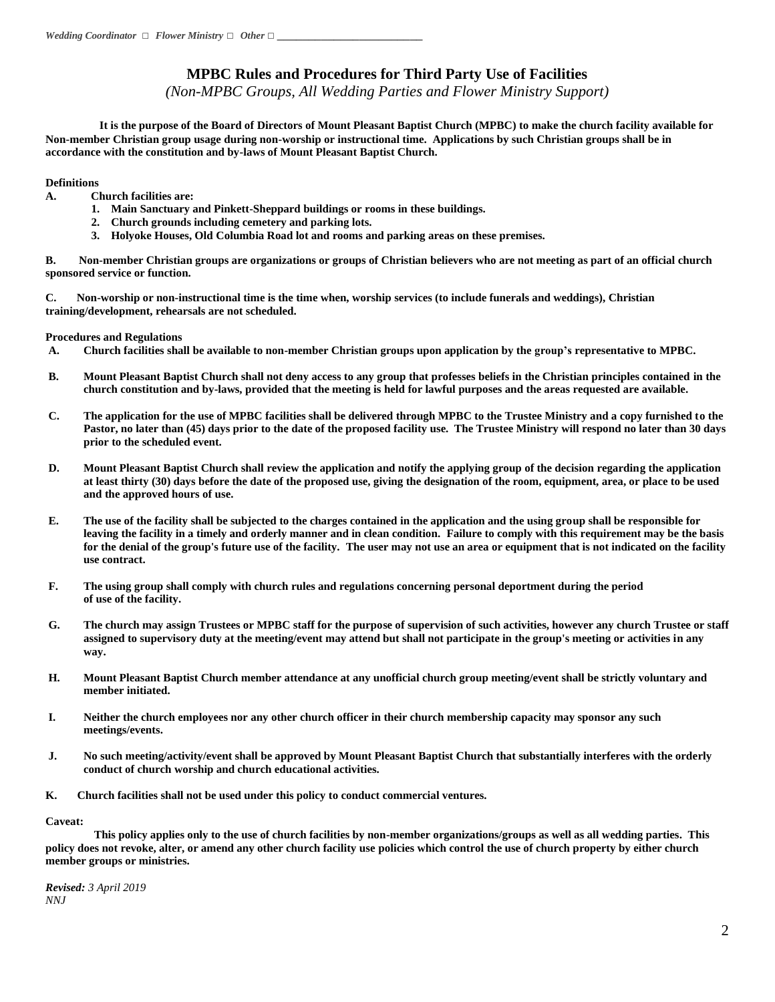### **MPBC Rules and Procedures for Third Party Use of Facilities**

*(Non-MPBC Groups, All Wedding Parties and Flower Ministry Support)*

 **It is the purpose of the Board of Directors of Mount Pleasant Baptist Church (MPBC) to make the church facility available for Non-member Christian group usage during non-worship or instructional time. Applications by such Christian groups shall be in accordance with the constitution and by-laws of Mount Pleasant Baptist Church.**

### **Definitions**

- **A. Church facilities are:**
	- **1. Main Sanctuary and Pinkett-Sheppard buildings or rooms in these buildings.**
	- **2. Church grounds including cemetery and parking lots.**
	- **3. Holyoke Houses, Old Columbia Road lot and rooms and parking areas on these premises.**

**B. Non-member Christian groups are organizations or groups of Christian believers who are not meeting as part of an official church sponsored service or function.**

**C. Non-worship or non-instructional time is the time when, worship services (to include funerals and weddings), Christian training/development, rehearsals are not scheduled.** 

### **Procedures and Regulations**

- **A. Church facilities shall be available to non-member Christian groups upon application by the group's representative to MPBC.**
- **B. Mount Pleasant Baptist Church shall not deny access to any group that professes beliefs in the Christian principles contained in the church constitution and by-laws, provided that the meeting is held for lawful purposes and the areas requested are available.**
- **C. The application for the use of MPBC facilities shall be delivered through MPBC to the Trustee Ministry and a copy furnished to the Pastor, no later than (45) days prior to the date of the proposed facility use. The Trustee Ministry will respond no later than 30 days prior to the scheduled event.**
- **D. Mount Pleasant Baptist Church shall review the application and notify the applying group of the decision regarding the application at least thirty (30) days before the date of the proposed use, giving the designation of the room, equipment, area, or place to be used and the approved hours of use.**
- **E. The use of the facility shall be subjected to the charges contained in the application and the using group shall be responsible for leaving the facility in a timely and orderly manner and in clean condition. Failure to comply with this requirement may be the basis for the denial of the group's future use of the facility. The user may not use an area or equipment that is not indicated on the facility use contract.**
- **F. The using group shall comply with church rules and regulations concerning personal deportment during the period of use of the facility.**
- **G. The church may assign Trustees or MPBC staff for the purpose of supervision of such activities, however any church Trustee or staff assigned to supervisory duty at the meeting/event may attend but shall not participate in the group's meeting or activities in any way.**
- **H. Mount Pleasant Baptist Church member attendance at any unofficial church group meeting/event shall be strictly voluntary and member initiated.**
- **I. Neither the church employees nor any other church officer in their church membership capacity may sponsor any such meetings/events.**
- **J. No such meeting/activity/event shall be approved by Mount Pleasant Baptist Church that substantially interferes with the orderly conduct of church worship and church educational activities.**
- **K. Church facilities shall not be used under this policy to conduct commercial ventures.**

**Caveat:**

 **This policy applies only to the use of church facilities by non-member organizations/groups as well as all wedding parties. This policy does not revoke, alter, or amend any other church facility use policies which control the use of church property by either church member groups or ministries.** 

*Revised: 3 April 2019 NNJ*